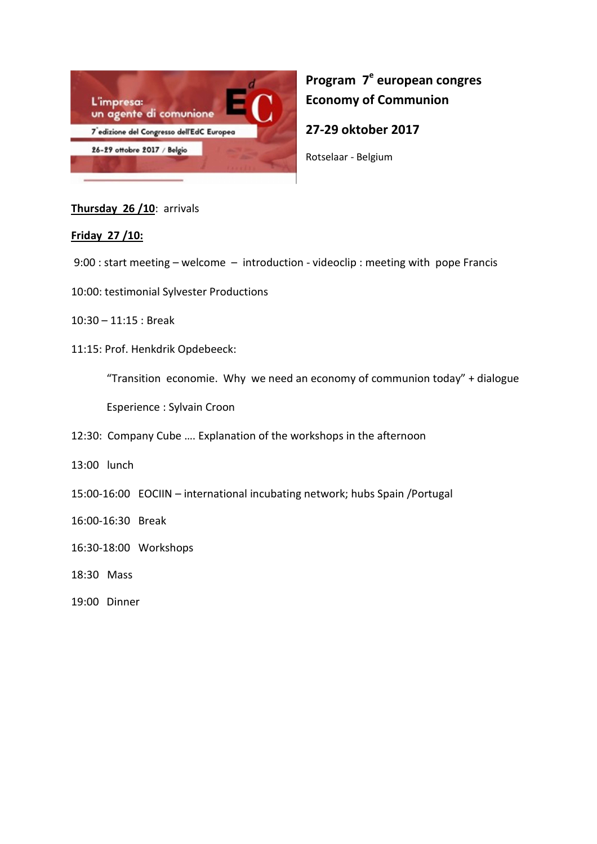

# **Program 7<sup>e</sup> european congres Economy of Communion**

**27-29 oktober 2017** 

Rotselaar - Belgium

## **Thursday 26 /10**: arrivals

## **Friday 27 /10:**

9:00 : start meeting – welcome – introduction - videoclip : meeting with pope Francis

- 10:00: testimonial Sylvester Productions
- 10:30 11:15 : Break
- 11:15: Prof. Henkdrik Opdebeeck:

"Transition economie. Why we need an economy of communion today" + dialogue

Esperience : Sylvain Croon

- 12:30: Company Cube …. Explanation of the workshops in the afternoon
- 13:00 lunch
- 15:00-16:00 EOCIIN international incubating network; hubs Spain /Portugal
- 16:00-16:30 Break
- 16:30-18:00 Workshops
- 18:30 Mass
- 19:00 Dinner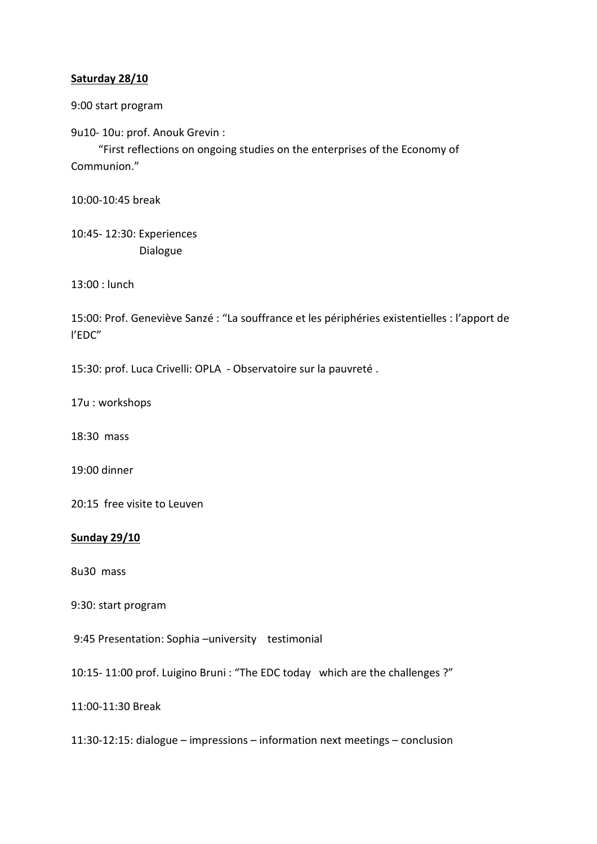### **Saturday 28/10**

9:00 start program

9u10- 10u: prof. Anouk Grevin :

 "First reflections on ongoing studies on the enterprises of the Economy of Communion."

10:00-10:45 break

10:45- 12:30: Experiences Dialogue

13:00 : lunch

15:00: Prof. Geneviève Sanzé : "La souffrance et les périphéries existentielles : l'apport de l'EDC"

15:30: prof. Luca Crivelli: OPLA - Observatoire sur la pauvreté .

17u : workshops

18:30 mass

19:00 dinner

20:15 free visite to Leuven

#### **Sunday 29/10**

8u30 mass

9:30: start program

9:45 Presentation: Sophia –university testimonial

10:15- 11:00 prof. Luigino Bruni : "The EDC today which are the challenges ?"

11:00-11:30 Break

11:30-12:15: dialogue – impressions – information next meetings – conclusion